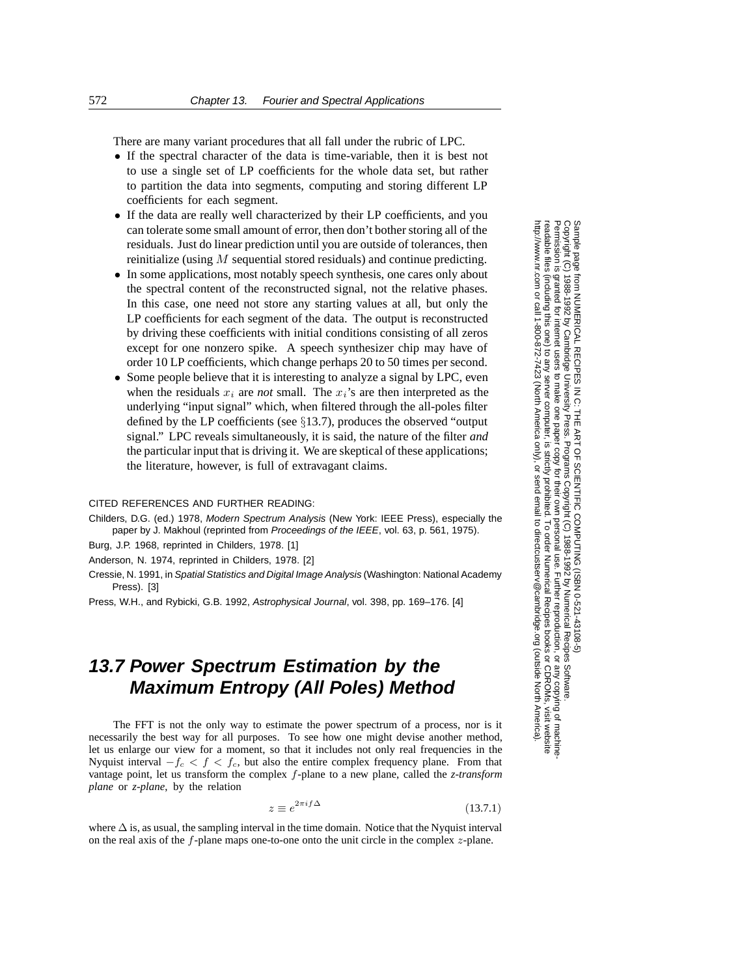There are many variant procedures that all fall under the rubric of LPC.

- *•* If the spectral character of the data is time-variable, then it is best not to use a single set of LP coefficients for the whole data set, but rather to partition the data into segments, computing and storing different LP coefficients for each segment.
- If the data are really well characterized by their LP coefficients, and you can tolerate some small amount of error, then don't bother storing all of the residuals. Just do linear prediction until you are outside of tolerances, then reinitialize (using *M* sequential stored residuals) and continue predicting.
- In some applications, most notably speech synthesis, one cares only about the spectral content of the reconstructed signal, not the relative phases. In this case, one need not store any starting values at all, but only the LP coefficients for each segment of the data. The output is reconstructed by driving these coefficients with initial conditions consisting of all zeros except for one nonzero spike. A speech synthesizer chip may have of order 10 LP coefficients, which change perhaps 20 to 50 times per second.
- Some people believe that it is interesting to analyze a signal by LPC, even when the residuals  $x_i$  are *not* small. The  $x_i$ 's are then interpreted as the underlying "input signal" which, when filtered through the all-poles filter defined by the LP coefficients (see *§*13.7), produces the observed "output signal." LPC reveals simultaneously, it is said, the nature of the filter *and* the particular input that is driving it. We are skeptical of these applications; the literature, however, is full of extravagant claims.

## CITED REFERENCES AND FURTHER READING:

Childers, D.G. (ed.) 1978, Modern Spectrum Analysis (New York: IEEE Press), especially the paper by J. Makhoul (reprinted from Proceedings of the IEEE, vol. 63, p. 561, 1975).

Burg, J.P. 1968, reprinted in Childers, 1978. [1]

Anderson, N. 1974, reprinted in Childers, 1978. [2]

Cressie, N. 1991, in Spatial Statistics and Digital Image Analysis (Washington: National Academy Press). [3]

Press, W.H., and Rybicki, G.B. 1992, Astrophysical Journal, vol. 398, pp. 169–176. [4]

## **13.7 Power Spectrum Estimation by the Maximum Entropy (All Poles) Method**

The FFT is not the only way to estimate the power spectrum of a process, nor is it necessarily the best way for all purposes. To see how one might devise another method, let us enlarge our view for a moment, so that it includes not only real frequencies in the Nyquist interval  $-f_c < f < f_c$ , but also the entire complex frequency plane. From that vantage point, let us transform the complex f-plane to a new plane, called the *z-transform plane* or *z-plane*, by the relation

$$
z \equiv e^{2\pi i f \Delta} \tag{13.7.1}
$$

where  $\Delta$  is, as usual, the sampling interval in the time domain. Notice that the Nyquist interval on the real axis of the  $f$ -plane maps one-to-one onto the unit circle in the complex  $z$ -plane.

Sample page fr<br>Copyright (C) 1<br>Permission is g Copyright (C) 1988-1992 by Cambridge University Press.Sample page from NUMERICAL RECIPES IN C: THE ART OF SCIENTIFIC COMPUTING (ISBN 0-521-43108-5) http://www.nr.com or call 1-800-872-7423 (North America only),readable files (including this one) to any serverPermission is granted for internet users to make one paper copy for their own personal use. Further reproduction, or any copyin from NUMERICAL RECIPES IN C. THE ART OF SCIENTIFIC COMPUTING (ISBN 0-521-43108-5)<br>1988-1992 by Cambridge University Press. Programs Copyright (C) 1988-1992 by Numerical Recipes Software computer, is strictly prohibited. To order Numerical Recipes booksPrograms Copyright (C) 1988-1992 by Numerical Recipes Software. or send email to directcustserv@cambridge.org (outside North America). or CDROMs, visit website g of machine-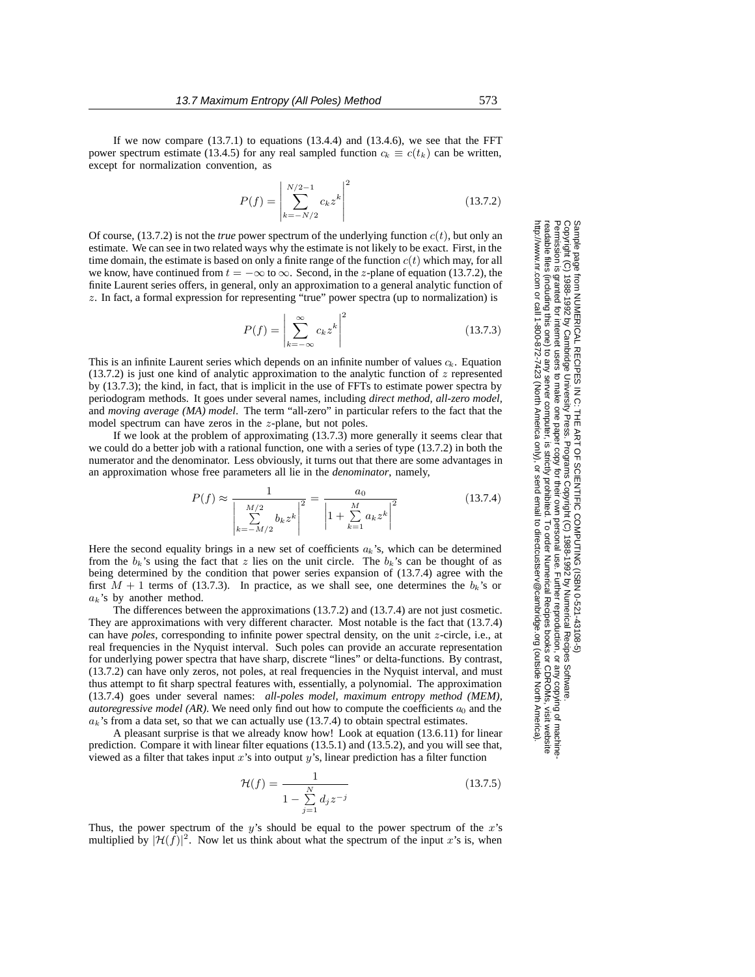If we now compare  $(13.7.1)$  to equations  $(13.4.4)$  and  $(13.4.6)$ , we see that the FFT power spectrum estimate (13.4.5) for any real sampled function  $c_k \equiv c(t_k)$  can be written, except for normalization convention, as

$$
P(f) = \left| \sum_{k=-N/2}^{N/2-1} c_k z^k \right|^2 \tag{13.7.2}
$$

Of course,  $(13.7.2)$  is not the *true* power spectrum of the underlying function  $c(t)$ , but only an estimate. We can see in two related ways why the estimate is not likely to be exact. First, in the time domain, the estimate is based on only a finite range of the function  $c(t)$  which may, for all we know, have continued from  $t = -\infty$  to  $\infty$ . Second, in the z-plane of equation (13.7.2), the finite Laurent series offers, in general, only an approximation to a general analytic function of z. In fact, a formal expression for representing "true" power spectra (up to normalization) is

$$
P(f) = \left| \sum_{k=-\infty}^{\infty} c_k z^k \right|^2 \tag{13.7.3}
$$

This is an infinite Laurent series which depends on an infinite number of values  $c_k$ . Equation (13.7.2) is just one kind of analytic approximation to the analytic function of  $z$  represented by (13.7.3); the kind, in fact, that is implicit in the use of FFTs to estimate power spectra by periodogram methods. It goes under several names, including *direct method, all-zero model,* and *moving average (MA) model*. The term "all-zero" in particular refers to the fact that the model spectrum can have zeros in the z-plane, but not poles.

If we look at the problem of approximating (13.7.3) more generally it seems clear that we could do a better job with a rational function, one with a series of type (13.7.2) in both the numerator and the denominator. Less obviously, it turns out that there are some advantages in an approximation whose free parameters all lie in the *denominator*, namely,

$$
P(f) \approx \frac{1}{\left|\sum_{k=-M/2}^{M/2} b_k z^k\right|^2} = \frac{a_0}{\left|1 + \sum_{k=1}^M a_k z^k\right|^2}
$$
(13.7.4)

Here the second equality brings in a new set of coefficients  $a_k$ 's, which can be determined from the  $b_k$ 's using the fact that z lies on the unit circle. The  $b_k$ 's can be thought of as being determined by the condition that power series expansion of (13.7.4) agree with the first  $M + 1$  terms of (13.7.3). In practice, as we shall see, one determines the  $b_k$ 's or  $a_k$ 's by another method.

The differences between the approximations (13.7.2) and (13.7.4) are not just cosmetic. They are approximations with very different character. Most notable is the fact that (13.7.4) can have *poles*, corresponding to infinite power spectral density, on the unit z-circle, i.e., at real frequencies in the Nyquist interval. Such poles can provide an accurate representation for underlying power spectra that have sharp, discrete "lines" or delta-functions. By contrast, (13.7.2) can have only zeros, not poles, at real frequencies in the Nyquist interval, and must thus attempt to fit sharp spectral features with, essentially, a polynomial. The approximation (13.7.4) goes under several names: *all-poles model, maximum entropy method (MEM), autoregressive model (AR)*. We need only find out how to compute the coefficients  $a_0$  and the  $a_k$ 's from a data set, so that we can actually use (13.7.4) to obtain spectral estimates.

A pleasant surprise is that we already know how! Look at equation (13.6.11) for linear prediction. Compare it with linear filter equations (13.5.1) and (13.5.2), and you will see that, viewed as a filter that takes input  $x$ 's into output  $y$ 's, linear prediction has a filter function

$$
\mathcal{H}(f) = \frac{1}{1 - \sum_{j=1}^{N} d_j z^{-j}}\tag{13.7.5}
$$

Thus, the power spectrum of the  $y$ 's should be equal to the power spectrum of the  $x$ 's multiplied by  $|\mathcal{H}(\hat{f})|^2$ . Now let us think about what the spectrum of the input x's is, when

Permission is granted for internet users to make one paper copy for their own personal use. Further reproduction, or any copyin Copyright (C) 1988-1992 by Cambridge University Press.Programs Copyright (C) 1988-1992 by Numerical Recipes Software. g of machinereadable files (including this one) to any servercomputer, is strictly prohibited. To order Numerical Recipes booksor CDROMs, visit website http://www.nr.com or call 1-800-872-7423 (North America only),or send email to directcustserv@cambridge.org (outside North America).

Sample page from NUMERICAL RECIPES IN C: THE ART OF SCIENTIFIC COMPUTING (ISBN 0-521-43108-5)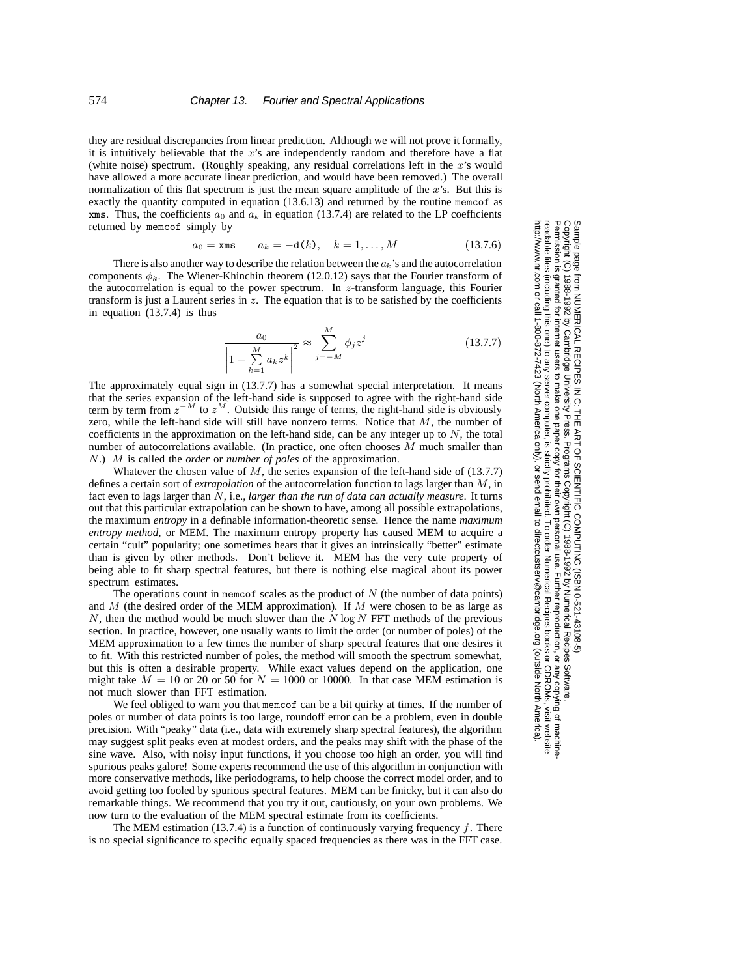they are residual discrepancies from linear prediction. Although we will not prove it formally, it is intuitively believable that the  $x$ 's are independently random and therefore have a flat (white noise) spectrum. (Roughly speaking, any residual correlations left in the x's would have allowed a more accurate linear prediction, and would have been removed.) The overall normalization of this flat spectrum is just the mean square amplitude of the  $x$ 's. But this is exactly the quantity computed in equation (13.6.13) and returned by the routine memcof as xms. Thus, the coefficients  $a_0$  and  $a_k$  in equation (13.7.4) are related to the LP coefficients returned by memcof simply by

$$
a_0 =
$$
xms  $a_k = -d(k)$ ,  $k = 1,..., M$  (13.7.6)

There is also another way to describe the relation between the  $a_k$ 's and the autocorrelation components  $\phi_k$ . The Wiener-Khinchin theorem (12.0.12) says that the Fourier transform of the autocorrelation is equal to the power spectrum. In  $z$ -transform language, this Fourier transform is just a Laurent series in  $z$ . The equation that is to be satisfied by the coefficients in equation (13.7.4) is thus

$$
\frac{a_0}{\left|1 + \sum_{k=1}^{M} a_k z^k\right|^2} \approx \sum_{j=-M}^{M} \phi_j z^j
$$
 (13.7.7)

The approximately equal sign in (13.7.7) has a somewhat special interpretation. It means that the series expansion of the left-hand side is supposed to agree with the right-hand side term by term from  $z^{-M}$  to  $z^M$ . Outside this range of terms, the right-hand side is obviously zero, while the left-hand side will still have nonzero terms. Notice that  $M$ , the number of coefficients in the approximation on the left-hand side, can be any integer up to  $N$ , the total number of autocorrelations available. (In practice, one often chooses  $M$  much smaller than N.) M is called the *order* or *number of poles* of the approximation.

Whatever the chosen value of  $M$ , the series expansion of the left-hand side of (13.7.7) defines a certain sort of *extrapolation* of the autocorrelation function to lags larger than M, in fact even to lags larger than N, i.e., *larger than the run of data can actually measure*. It turns out that this particular extrapolation can be shown to have, among all possible extrapolations, the maximum *entropy* in a definable information-theoretic sense. Hence the name *maximum entropy method*, or MEM. The maximum entropy property has caused MEM to acquire a certain "cult" popularity; one sometimes hears that it gives an intrinsically "better" estimate than is given by other methods. Don't believe it. MEM has the very cute property of being able to fit sharp spectral features, but there is nothing else magical about its power spectrum estimates.

The operations count in memcof scales as the product of  $N$  (the number of data points) and  $M$  (the desired order of the MEM approximation). If  $M$  were chosen to be as large as  $N$ , then the method would be much slower than the  $N \log N$  FFT methods of the previous section. In practice, however, one usually wants to limit the order (or number of poles) of the MEM approximation to a few times the number of sharp spectral features that one desires it to fit. With this restricted number of poles, the method will smooth the spectrum somewhat, but this is often a desirable property. While exact values depend on the application, one might take  $M = 10$  or 20 or 50 for  $N = 1000$  or 10000. In that case MEM estimation is not much slower than FFT estimation.

We feel obliged to warn you that memcof can be a bit quirky at times. If the number of poles or number of data points is too large, roundoff error can be a problem, even in double precision. With "peaky" data (i.e., data with extremely sharp spectral features), the algorithm may suggest split peaks even at modest orders, and the peaks may shift with the phase of the sine wave. Also, with noisy input functions, if you choose too high an order, you will find spurious peaks galore! Some experts recommend the use of this algorithm in conjunction with more conservative methods, like periodograms, to help choose the correct model order, and to avoid getting too fooled by spurious spectral features. MEM can be finicky, but it can also do remarkable things. We recommend that you try it out, cautiously, on your own problems. We now turn to the evaluation of the MEM spectral estimate from its coefficients.

The MEM estimation (13.7.4) is a function of continuously varying frequency  $f$ . There is no special significance to specific equally spaced frequencies as there was in the FFT case.

Permission is granted for internet users to make one paper copy for their own personal use. Further reproduction, or any copyin Copyright (C) 1988-1992 by Cambridge University Press.Programs Copyright (C) 1988-1992 by Numerical Recipes Software. Sample page from NUMERICAL RECIPES IN C: THE ART OF SCIENTIFIC COMPUTING (ISBN 0-521-43108-5) g of machinereadable files (including this one) to any servercomputer, is strictly prohibited. To order Numerical Recipes booksor CDROMs, visit website http://www.nr.com or call 1-800-872-7423 (North America only),readable files (including this one) to any server computer, is strictly prohibited. To order Numerical Recipes books or CDROMs, visit web:<br>http://www.nr.com or call 1-800-872-7423 (North America only), or send email to di or send email to directcustserv@cambridge.org (outside North America).